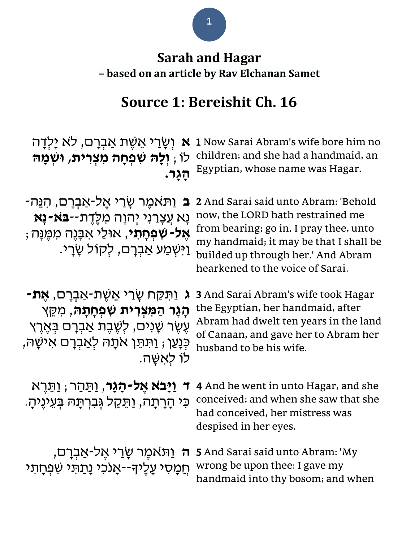### **1**

## **Sarah and Hagar – based on an article by Rav Elchanan Samet**

# **Source 1: Bereishit Ch. 16**

| וְשָׂרַי אֲשֶׁת אַבְרָם, לֹא יָלְדָה<br>N<br>לו , וְלָה שִׁפְחָה מִצְרִית, וּשְׁמָה<br>ַהַגַר.                                                                                                        | 1 Now Sarai Abram's wife bore him no<br>children; and she had a handmaid, an<br>Egyptian, whose name was Hagar.                                                                                                                        |
|-------------------------------------------------------------------------------------------------------------------------------------------------------------------------------------------------------|----------------------------------------------------------------------------------------------------------------------------------------------------------------------------------------------------------------------------------------|
| ַוַּתֹּאמֵר שָׂרֵי אֵל-אַבְרָם, הִנֵּה־<br><b>ָנָא עֲצָרַנִי יְהוָה מִלֶדֶת--בּא-נָא</b><br><b>אֶל-שִׁפְחָתי,</b> אוּלַי אִבָּנֵה מִמְּנַּה;<br>וַיִּשְׁמַע אַבְרָם, לִקוֹל שָׂרָי.                   | 2 And Sarai said unto Abram: 'Behold<br>now, the LORD hath restrained me<br>from bearing; go in, I pray thee, unto<br>my handmaid; it may be that I shall be<br>builded up through her.' And Abram<br>hearkened to the voice of Sarai. |
| ַ וַּתִּקַּח שָׂרַי אֵשֶׁת-אַבְרָם, <b>אֵת-</b><br>הָגָר הַמִּצְרִית שִׁפְחָתָהּ, מִקֵּץ<br>עֶשֶׂר שָׁנִים, לְשֶׁבֶת אַבְרָם בְּאֶרֶץ<br>ּכְּנָעַן ; וַתִּתֵּן אתָהּ לְאַבְרָם אִישָׁהּ,<br>לו לאשַה. | <b>3</b> And Sarai Abram's wife took Hagar<br>the Egyptian, her handmaid, after<br>Abram had dwelt ten years in the land<br>of Canaan, and gave her to Abram her<br>husband to be his wife.                                            |
| ד <b>וַיְּבא אֶל-הָגָר</b> , וַתַּהַר; וַתֵּרֶא<br>כִּי הָרָתָה, וַתֵּקַל גִּבְרְתָּה בְּעֵינֵיהָ.                                                                                                    | 4 And he went in unto Hagar, and she<br>conceived; and when she saw that she<br>had conceived, her mistress was<br>despised in her eyes.                                                                                               |
| <del>ה</del> וַתּאמֶר שָׂרַי אֶל-אַבְרָם,<br><u>חַמָּ</u> סִי עָלֵיךָ--אָנכִי נָתַתִּי שִׁפְחָתי                                                                                                      | 5 And Sarai said unto Abram: 'My<br>wrong be upon thee: I gave my<br>handmaid into thy bosom; and when                                                                                                                                 |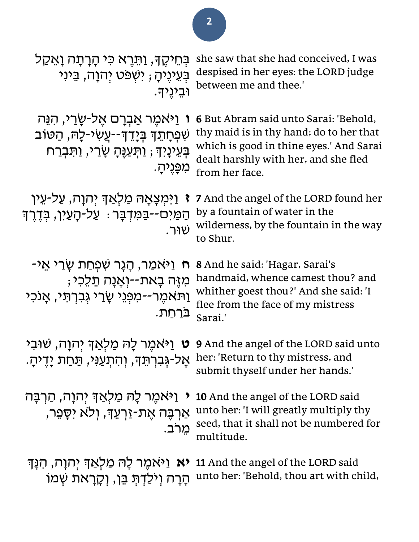| בְּחֵיקֶךָ, וַתֵּרֶא כִּי הָרָתָה וַאֲקַל<br>בְּעֵינֶיהָ ; יִשְפּט יִהוָה, בֵּינִי<br>וּבֵינֵידּ.                                                  | she saw that she had conceived, I was<br>despised in her eyes: the LORD judge<br>between me and thee.'                                                                                |
|----------------------------------------------------------------------------------------------------------------------------------------------------|---------------------------------------------------------------------------------------------------------------------------------------------------------------------------------------|
| ו וַיֹּאמֶר אַבְרָם אֵל-שַׂרַי, הִנֵּה<br>שִׁפְחָתֵךְ בְּיָדֵךְ--עֲשִׂי-לָה, הַטּוֹב<br>בְּעֵינָיִךְ ; וַתְּעַנֶּהָ שָׂרֵי, וַתִּבְרַח<br>מפֵנֵיה. | 6 But Abram said unto Sarai: 'Behold,<br>thy maid is in thy hand; do to her that<br>which is good in thine eyes.' And Sarai<br>dealt harshly with her, and she fled<br>from her face. |
| <b>ז</b> וַיִּמְצָאָהּ מַלְאַדְ יְהוָה, עַל-עֵין<br>הַמַּיִם--בַּמִּדְבָּר : עַל-הָעַיִן, בְּדֶרֶךְ<br>שוּר.                                       | 7 And the angel of the LORD found her<br>by a fountain of water in the<br>wilderness, by the fountain in the way<br>to Shur.                                                          |
| ַיַּאמַר, הָגָר שְׁפִחַת שַׂרַי אֵי-<br>מִזֶּה בָאת--וְאָנָה תֵלֵכִי;<br>ַוַּתֹּאמֶר--מִפְּנֵי שָׂרֵי גִּבְרְתָי, אָנכִי<br>ברחת.                  | <b>8</b> And he said: 'Hagar, Sarai's<br>handmaid, whence camest thou? and<br>whither goest thou?' And she said: 'I<br>flee from the face of my mistress<br>Sarai.'                   |
| <b>ט</b> וַיֹּאמֵר לָהּ מַלְאַדְ יִהוָה, שׁוּבִי<br>אֶל-גְּבִרְתֵּךָ, וְהִתְעַנִּי, תַּחַת יָדֶיהָ.                                                | 9 And the angel of the LORD said unto<br>her: 'Return to thy mistress, and<br>submit thyself under her hands.'                                                                        |
| וַיֹּאמֵר לָה <i>ּ מַלְאַך</i> ּ יִהוָה, הַרְבָּה<br>אַרִבֵּה אֵת-זַרְעֵדְ, וְלֹא יִסָפֵר,<br>מֵרב.                                                | <b>10</b> And the angel of the LORD said<br>unto her: 'I will greatly multiply thy<br>seed, that it shall not be numbered for<br>multitude.                                           |
| <b>יא</b> וַיּאמֵר לָהּ מַלְאַךְ יִהוָה, הִנָּךְ<br>הָרָה וְיֹלַדְתְּ בֵּן, וְקָרָאת שְׁמוֹ                                                        | 11 And the angel of the LORD said<br>unto her: 'Behold, thou art with child,                                                                                                          |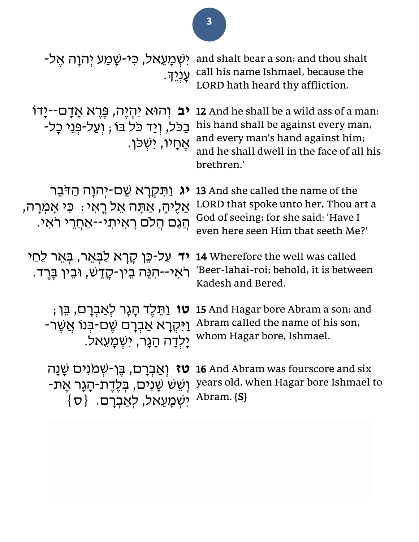| יִשְׁמַעֵאל, כִּי-שָׁמַע יִהוַה אֵל-<br>ּעַנְיִד.                                                                          | and shalt bear a son; and thou shalt<br>call his name Ishmael, because the<br>LORD hath heard thy affliction.                                                                          |
|----------------------------------------------------------------------------------------------------------------------------|----------------------------------------------------------------------------------------------------------------------------------------------------------------------------------------|
| <b>יב</b> וְהוּא יִהְיֶה, פֶּרֶא אֲדָם--יָדוֹ<br>בַכל, וְיַד כֹּל בוֹ ; וְעַל-פְּגֵי כָל-<br>ּאֵחָיו, ישִׁכּן.             | <b>12</b> And he shall be a wild ass of a man:<br>his hand shall be against every man,<br>and every man's hand against him;<br>and he shall dwell in the face of all his<br>brethren.' |
| <b>יג</b> וַתִּקְרָא שֵׁם-יִהוָה הַדּבֵר<br>אֵלֵיהָ, אַתָּה אֵל רָאִי : כִּי אָמְרָה,<br>הַגַם הַלֹם רָאיתי--אַחֲרֵי ראִי. | <b>13</b> And she called the name of the<br>LORD that spoke unto her, Thou art a<br>God of seeing; for she said: 'Have I<br>even here seen Him that seeth Me?'                         |
| <b>יד</b> עַל-כֵּן קָרָא לַבָּאֵר, בָּאֵר לַחַי<br>ראי--הִנֵּה בֵין-קָדֵש, וּבֵין בָּרֵד.                                  | 14 Wherefore the well was called<br>'Beer-lahai-roi; behold, it is between<br>Kadesh and Bered.                                                                                        |
| <b>ּטו</b> וַתֵּלֵד הָגָר לְאַבְרָם, בֵּן ;<br>ַיַּקְרָא אַבְרָם שֵׁם-בִּנוֹ אֲשֵׁר-<br>ַיַלְדַה הַגֲר, יִשְׁמַעֲאל.       | 15 And Hagar bore Abram a son; and<br>Abram called the name of his son,<br>whom Hagar bore, Ishmael.                                                                                   |
| <b>טז</b> וְאַבְרָם, בֵּן-שְׁמֹנִים שָׁנָה<br>ֿוְשֵׁשׁ שָׁנִים, בְּלֶדֶת-הָגָר אֶת-<br>ישמַעֵאל, לְאַבְרָם. {ס             | <b>16</b> And Abram was fourscore and six<br>years old, when Hagar bore Ishmael to<br>Abram. [S]                                                                                       |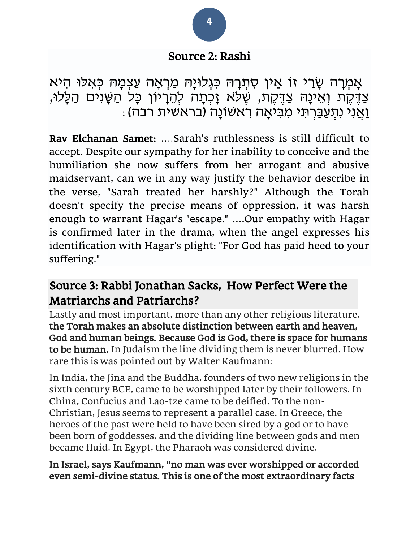### Source 2: Rashi

אָמְרָה שָׂרַי זו אִין סִתְרָהּ כּגְלוּיָה מַרְאָה עַצְמָה כִּאלוּ הִיא צַדֶּקֶת וְאֵינָהּ צַדֶּקֶת, שֶׁלֹּא זָכְתָה לְהֵרָיוֹן כָּל הַשָּׁנִים הַלָּלוּ, ּוַאֲנִי נִתְעַבַּרְתִּי מִבִּיאָה רִאשׁוֹנָה (בראשית רבה)

Rav Elchanan Samet: ….Sarah's ruthlessness is still difficult to accept. Despite our sympathy for her inability to conceive and the humiliation she now suffers from her arrogant and abusive maidservant, can we in any way justify the behavior describe in the verse, "Sarah treated her harshly?" Although the Torah doesn't specify the precise means of oppression, it was harsh enough to warrant Hagar's "escape." ….Our empathy with Hagar is confirmed later in the drama, when the angel expresses his identification with Hagar's plight: "For God has paid heed to your suffering."

### Source 3: Rabbi Jonathan Sacks, How Perfect Were the Matriarchs and Patriarchs?

Lastly and most important, more than any other religious literature, the Torah makes an absolute distinction between earth and heaven, God and human beings. Because God is God, there is space for humans to be human. In Judaism the line dividing them is never blurred. How rare this is was pointed out by Walter Kaufmann:

In India, the Jina and the Buddha, founders of two new religions in the sixth century BCE, came to be worshipped later by their followers. In China, Confucius and Lao-tze came to be deified. To the non-Christian, Jesus seems to represent a parallel case. In Greece, the heroes of the past were held to have been sired by a god or to have been born of goddesses, and the dividing line between gods and men became fluid. In Egypt, the Pharaoh was considered divine.

#### In Israel, says Kaufmann, "no man was ever worshipped or accorded even semi-divine status. This is one of the most extraordinary facts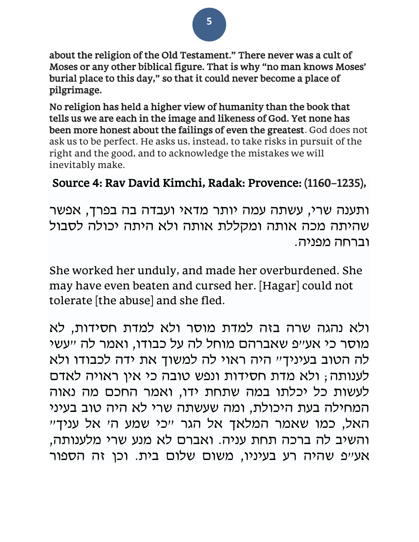about the religion of the Old Testament." There never was a cult of Moses or any other biblical figure. That is why "no man knows Moses' burial place to this day," so that it could never become a place of pilgrimage.

No religion has held a higher view of humanity than the book that tells us we are each in the image and likeness of God. Yet none has been more honest about the failings of even the greatest. God does not ask us to be perfect. He asks us, instead, to take risks in pursuit of the right and the good, and to acknowledge the mistakes we will inevitably make.

### Source 4: Rav David Kimchi, Radak: Provence: (1160–1235),

ותענה שרי, עשתה עמה יותר מדאי ועבדה בה בפרך, אפשר שהיתה מכה אותה ומקללת אותה ולא היתה יכולה לסבול וברחה מפניה.

She worked her unduly, and made her overburdened. She may have even beaten and cursed her. [Hagar] could not tolerate [the abuse] and she fled.

ולא נהגה שרה בזה למדת מוסר ולא למדת חסידות, לא מוסר כי אע"פ שאברהם מוחל לה על כבודו, ואמר לה "עשי לה הטוב בעיניך" היה ראוי לה למשוך את ידה לכבודו ולא לענותה; ולא מדת חסידות ונפש טובה כי אין ראויה לאדם לעשות כל יכלתו במה שתחת ידו, ואמר החכם מה נאוה המחילה בעת היכולת, ומה שעשתה שרי לא היה טוב בעיני האל, כמו שאמר המלאך אל הגר "כי שמע ה' אל עניך" והשיב לה ברכה תחת עניה. ואברם לא מנע שרי מלענותה, אע"פ שהיה רע בעיניו, משום שלום בית. וכן זה הספור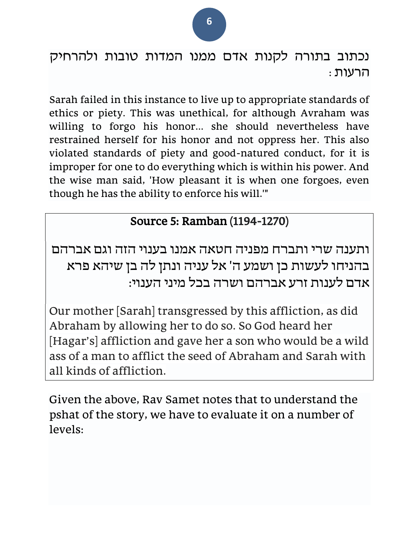נכתוב בתורה לקנות אדם ממנו המדות טובות ולהרחיק הרעות:

Sarah failed in this instance to live up to appropriate standards of ethics or piety. This was unethical, for although Avraham was willing to forgo his honor... she should nevertheless have restrained herself for his honor and not oppress her. This also violated standards of piety and good-natured conduct, for it is improper for one to do everything which is within his power. And the wise man said, 'How pleasant it is when one forgoes, even though he has the ability to enforce his will.'"

### Source 5: Ramban (1194-1270)

ותענה שרי ותברח מפניה חטאה אמנו בענוי הזה וגם אברהם בהניחו לעשות כן ושמע ה' אל עניה ונתן לה בן שיהא פרא אדם לענות זרע אברהם ושרה בכל מיני הענוי:

Our mother [Sarah] transgressed by this affliction, as did Abraham by allowing her to do so. So God heard her [Hagar's] affliction and gave her a son who would be a wild ass of a man to afflict the seed of Abraham and Sarah with all kinds of affliction.

Given the above, Rav Samet notes that to understand the pshat of the story, we have to evaluate it on a number of levels: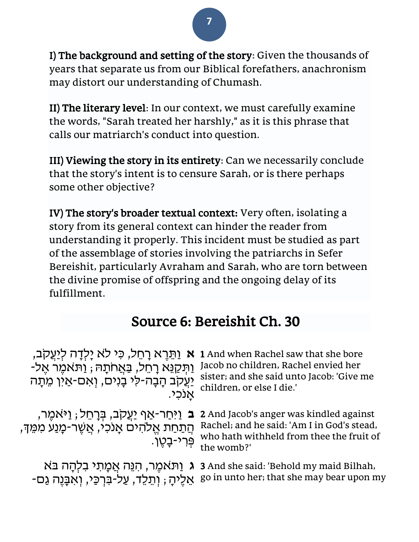I) The background and setting of the story: Given the thousands of years that separate us from our Biblical forefathers, anachronism may distort our understanding of Chumash.

II) The literary level: In our context, we must carefully examine the words, "Sarah treated her harshly," as it is this phrase that calls our matriarch's conduct into question.

III) Viewing the story in its entirety: Can we necessarily conclude that the story's intent is to censure Sarah, or is there perhaps some other objective?

IV) The story's broader textual context: Very often, isolating a story from its general context can hinder the reader from understanding it properly. This incident must be studied as part of the assemblage of stories involving the patriarchs in Sefer Bereishit, particularly Avraham and Sarah, who are torn between the divine promise of offspring and the ongoing delay of its fulfillment.

## Source 6: Bereishit Ch. 30

| <b>א</b> וַתֵּרֶא רָחֵל, כִּי לֹא יַלְדָה לְיַעֲקִב,<br>ַיַּתְּקַנֵּא רָחֵל, בַּאֲחֹתָהּ; וַתֹּאמֶר אֶל-<br>יַעֲקִב הָבָה-לִי בָנִים, וְאִם-אַין מֵתָה<br>אנכי. | 1 And when Rachel saw that she bore<br>Jacob no children, Rachel envied her<br>sister; and she said unto Jacob: 'Give me<br>children, or else I die.' |
|-----------------------------------------------------------------------------------------------------------------------------------------------------------------|-------------------------------------------------------------------------------------------------------------------------------------------------------|
| <b>ָב</b> ּ וַיִּחַר-אַף יַעֲקִב, בְּרָחֵל; וַיּאמֵר,<br>ְהַתַּחַת אֱלֹהִים אָנכִי, אֲשֶׁר-מָנַע מִמֶּךְ,<br>פְּרִי-בַטֵן.                                      | 2 And Jacob's anger was kindled against<br>Rachel; and he said: 'Am I in God's stead,<br>who hath withheld from thee the fruit of<br>the womb?'       |
| ּאֵלֶיהָ ; וְתֵלֵד, עַל-בִּרְכֵּי, וְאִבָּנֶה גַם-                                                                                                              | ר אַמָּת אֲמָתִי בִלְהָה בּא 3 And she said: 'Behold my maid Bilhah,<br>go in unto her; that she may bear upon my                                     |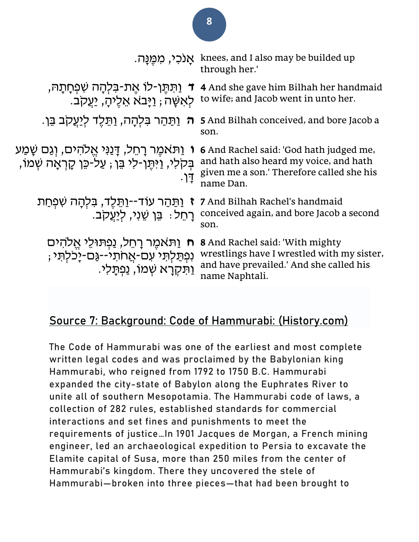|                                                                                                                                     | אַנכי, מְמֵנַה. knees, and I also may be builded up<br>through her.'                                                                               |
|-------------------------------------------------------------------------------------------------------------------------------------|----------------------------------------------------------------------------------------------------------------------------------------------------|
| ַוַּתּתֵן-לוֹ אֵת-בִּלְהָה שִׁפְחָתָה,<br>ּלְאִשָּׁה; וַיַּבא אֵלֵיהַ, יַעֲקִב.                                                     | 4 And she gave him Bilhah her handmaid<br>to wife; and Jacob went in unto her.                                                                     |
| <del>ה וַתַּהַר בִּלְהָה, וַתֵּלֵד לִיַ</del> עֲקִב בֵּן.                                                                           | 5 And Bilhah conceived, and bore Jacob a<br>son.                                                                                                   |
| <b>ו</b> וַתֹּאמֶר רָחֵל, דָּנַנִּי אֱלֹהִים, וְגַם שָׁמַע<br>ְבִקלִי, וַיּתֵן-לִי בֵּן , עַלֹ-כֵּן קָרְאָה שְׁמוֹ,<br>$\mathsf{I}$ | <b>6</b> And Rachel said: 'God hath judged me,<br>and hath also heard my voice, and hath<br>given me a son.' Therefore called she his<br>name Dan. |
| וַתַּהַר עוֹד--וַתֵּלֵד, בִּלְהָה שִׁפְחַת<br>ַרְחֵל: בֵּן שֵׁנִי, לְיַעֲקִב.                                                       | 7 And Bilhah Rachel's handmaid<br>conceived again, and bore Jacob a second<br>son.                                                                 |
| ח וַתּאמֵר רַחֵל, נַפְתּוּלֵי אֱלֹהִים<br>וִפְתַּלְתִּי ׁעִם-אֲחתי--גַּם-יָכִלְתִּי ;<br><u>וַתִּקְרָא שְׁמוֹ, נַפְתַלִי.</u>       | <b>8</b> And Rachel said: 'With mighty<br>wrestlings have I wrestled with my sister,<br>and have prevailed.' And she called his<br>name Naphtali.  |

#### **Source 7: Background: Code of Hammurabi: (History.com)**

The Code of Hammurabi was one of the earliest and most complete written legal codes and was proclaimed by the Babylonian king Hammurabi, who reigned from 1792 to 1750 B.C. Hammurabi expanded the city-state of Babylon along the Euphrates River to unite all of southern Mesopotamia. The Hammurabi code of laws, a collection of 282 rules, established standards for commercial interactions and set fines and punishments to meet the requirements of justice…In 1901 Jacques de Morgan, a French mining engineer, led an archaeological expedition to Persia to excavate the Elamite capital of Susa, more than 250 miles from the center of Hammurabi's kingdom. There they uncovered the stele of Hammurabi—broken into three pieces—that had been brought to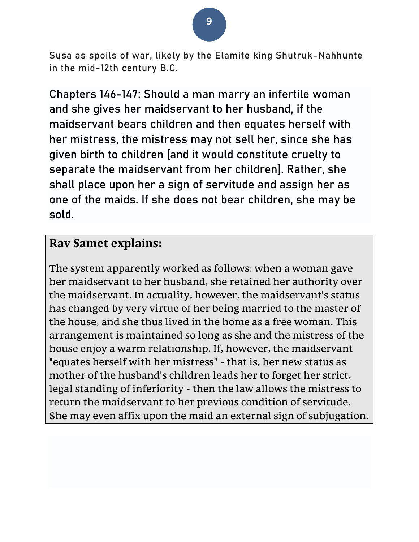Susa as spoils of war, likely by the Elamite king Shutruk-Nahhunte in the mid-12th century B.C.

**Chapters 146-147:** Should a man marry an infertile woman and she gives her maidservant to her husband, if the maidservant bears children and then equates herself with her mistress, the mistress may not sell her, since she has given birth to children [and it would constitute cruelty to separate the maidservant from her children]. Rather, she shall place upon her a sign of servitude and assign her as one of the maids. If she does not bear children, she may be sold.

### **Rav Samet explains:**

The system apparently worked as follows: when a woman gave her maidservant to her husband, she retained her authority over the maidservant. In actuality, however, the maidservant's status has changed by very virtue of her being married to the master of the house, and she thus lived in the home as a free woman. This arrangement is maintained so long as she and the mistress of the house enjoy a warm relationship. If, however, the maidservant "equates herself with her mistress" - that is, her new status as mother of the husband's children leads her to forget her strict, legal standing of inferiority - then the law allows the mistress to return the maidservant to her previous condition of servitude. She may even affix upon the maid an external sign of subjugation.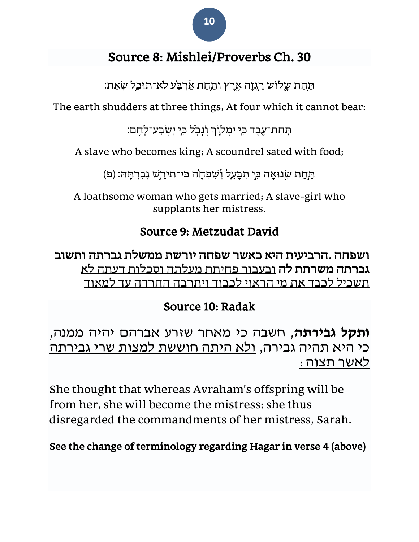

### Source 8: Mishlei/Proverbs Ch. 30

ּתַּחַת שָלוֹש רָגְזָה אֶרֶץ וְתַחַת אַרְבַּע לֹא־תוּכַל שְׂאָת:

The earth shudders at three things, At four which it cannot bear:

ּתְּחַת־עֶבֶד כִּי יִמְלֹוֶךְ וְۢנָבָל כִּי יְשִׂבְע־לָחֶם:

A slave who becomes king; A scoundrel sated with food;

תַּחַת שְׂנוּאָה כִּי תִבָּעֵל וְשִׁפְחָה כִּי־תִירַשׁ גִּבְרְתָּהּ: (פ)

A loathsome woman who gets married; A slave-girl who supplants her mistress.

### Source 9: Metzudat David

ושפחה .הרביעית היא כאשר שפחה יורשת ממשלת גברתה ותשוב גברתה משרתת לה ובעבור פחיתת מעלתה וסכלות דעתה לא תשכיל לכבד את מי הראוי לכבוד ויתרבה החרדה עד למאוד

### Source 10: Radak

**ותקל גבירתה**, חשבה כי מאחר שזרע אברהם יהיה ממנה, כי היא תהיה גבירה, ולא היתה חוששת למצות שרי גבירתה לאשר תצוה:

She thought that whereas Avraham's offspring will be from her, she will become the mistress; she thus disregarded the commandments of her mistress, Sarah.

See the change of terminology regarding Hagar in verse 4 (above)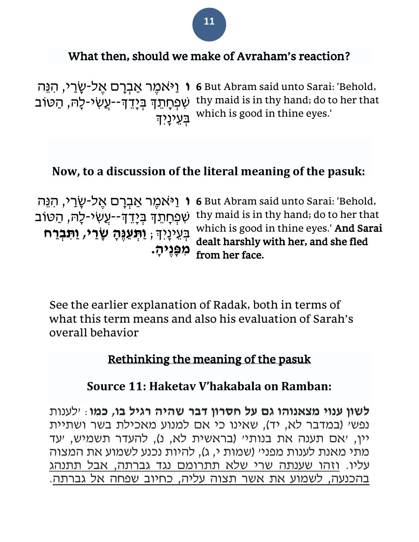### What then, should we make of Avraham's reaction?

**ו**יֹאמֶר אַבְרָם אֶל-שָׂרֵי, הִנֵּה (**6 But Abram said unto Sarai:** 'Behold, עְפְחָתֵךְ בְּיָדֵךְ--עֲשִׂי-לָה, הַטּוֹב thy maid is in thy hand; do to her that בְעֵיכְרָ<del>ּיִ</del> which is good in thine eyes.'

### **Now, to a discussion of the literal meaning of the pasuk:**

**ו** וַי ֹאמֶׁ ר אַ בְ רָׂ ם אֶׁ ל-שָׂ רַ י, הִ נֵה ּשִׁפְּחָתֵךְ בְּיָדֵדְ--עֲשִׂי-לָה, הַטּוֹב בְ עֵ ינָׂיְִך; **וַתְ עַ נֶהָ שָ רַ י, וַתִׁ בְ רַ ח מִׁ פָנֶיהָ .** 

6 But Abram said unto Sarai: 'Behold, thy maid is in thy hand; do to her that which is good in thine eyes.' And Sarai dealt harshly with her, and she fled from her face.

See the earlier explanation of Radak, both in terms of what this term means and also his evaluation of Sarah's overall behavior

#### Rethinking the meaning of the pasuk

### **Source 11: Haketav V'hakabala on Ramban:**

**לשון ענוי מצאנוהו גם על חסרון דבר שהיה רגיל בו, כמו**: 'לענות נפשי (במדבר לא, יד), שאינו כי אם למנוע מאכילת בשר ושתיית יין, 'אם תענה את בנותי' (בראשית לא, נ), להעדר תשמיש, יעד מתי מאנת לענות מפני' (שמות י, ג), להיות נכנע לשמוע את המצוה עליו. וזהו שענתה שרי שלא תתרומם נגד גברתה, אבל תתנהג בהכנעה, לשמוע את אשר תצוה עליה, כחיוב שפחה אל גברתה .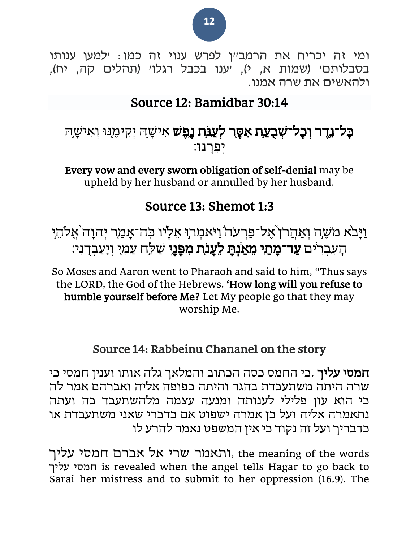ומי זה יכריח את הרמב״ן לפרש ענוי זה כמו: ילמען ענותו בסבלותם' (שמות א, י), יענו בכבל רגלו' (תהלים קה, יח), ולהאשים את שרה אמנו.

### Source 12: Bamidbar 30:14

### **ָבָל־נֶדֶר וְכָל־שְׁבָעֲת אִסֶּר לְעַנְּת נֵפֶשׁ** אִישָרוּ יְקִימֶנוּ וְאִישָרוּ יפרִנוּ:

Every vow and every sworn obligation of self-denial may be upheld by her husband or annulled by her husband.

### Source 13: Shemot 1:3

וַיָּבֹא מֹשֶׁה וְאַהֲרֹן אֶל־פַּרְעֹה וַיֹּאמְרְוּ אֵלָיו כְּה־אָמַר יְהוָה אֱלֹהֵיִ הַעִּבְרֹים **עַד־מָתַי מֵאַנְתָ לֵעֲנֹת מִפָּנֵי** שַׁלַַח עַמְּיָ וְיָעַבְדָנִי:

So Moses and Aaron went to Pharaoh and said to him, "Thus says the LORD, the God of the Hebrews, 'How long will you refuse to humble yourself before Me? Let My people go that they may worship Me.

### Source 14: Rabbeinu Chananel on the story

חמסי עליך .כי החמס כסה הכתוב והמלאך גלה אותו וענין חמסי כי שרה היתה משתעבדת בהגר והיתה כפופה אליה ואברהם אמר ל ה כי הוא עון פלילי לענותה ומנעה עצמה מלהשתעבד בה ועתה נתאמרה אליה ועל כן אמרה ישפוט אם כדברי שאני משתעבדת או כדבריך ועל זה נקוד כי אין המשפט נאמר להרע לו

 words the of meaning the ,ותאמר שרי אל אברם חמסי עליך עליך חמסי is revealed when the angel tells Hagar to go back to Sarai her mistress and to submit to her oppression (16,9). The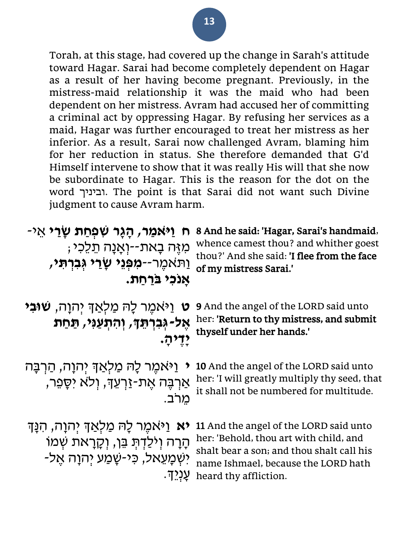Torah, at this stage, had covered up the change in Sarah's attitude toward Hagar. Sarai had become completely dependent on Hagar as a result of her having become pregnant. Previously, in the mistress-maid relationship it was the maid who had been dependent on her mistress. Avram had accused her of committing a criminal act by oppressing Hagar. By refusing her services as a maid, Hagar was further encouraged to treat her mistress as her inferior. As a result, Sarai now challenged Avram, blaming him for her reduction in status. She therefore demanded that G'd Himself intervene to show that it was really His will that she now be subordinate to Hagar. This is the reason for the dot on the word וביניך. The point is that Sarai did not want such Divine judgment to cause Avram harm.

| ַיַּאמַר, הַגַּר שִׁפְחַת שַׂרַי אֵי<br>N<br>ּמִזֶּה בָאת--וְאָנָה תֵלֵכִי;<br>וַתאמֶר-- <b>מִפְּגֵי שַׂרֵי גִּבְרִתְּי,</b><br>אנכי ברחת. | 8 And he said: 'Hagar, Sarai's handmaid,<br>whence camest thou? and whither goest<br>thou?' And she said: 'I flee from the face<br>of my mistress Sarai.'                                     |
|--------------------------------------------------------------------------------------------------------------------------------------------|-----------------------------------------------------------------------------------------------------------------------------------------------------------------------------------------------|
| וַיּאמֶר לָה מַלְאַד יִהוָה, <b>שׁוּבִי</b><br>V<br>אֶל-גְּבִרְתֵּךָ, וְהִתְעֲנִי, תַּחַת<br>ידיה.                                         | <b>9</b> And the angel of the LORD said unto<br>her: 'Return to thy mistress, and submit<br>thyself under her hands.'                                                                         |
| וַיֹּאמֵר לָה מַלְאַךְ יִהוָה, הַרְבָּה<br>$\blacktriangledown$<br>אַרְבֶּה אֶת-זַרְעֵךָ, וִלֹא יִסָפֵר,                                   | 10 And the angel of the LORD said unto<br>her: 'I will greatly multiply thy seed, that<br>it shall not be numbered for multitude.                                                             |
| <b>יא</b> וַיּאמֵר לָהּ מַלְאַדְ יִהוָה, הִנָּדְ<br>הָרָה וְיֹלַדְתְּ בֵּן, וְקָרָאת שְׁמוֹ<br>יִשְׁמַעֲאל, כִּי-שָׁמַע יִהוַה אַל-        | 11 And the angel of the LORD said unto<br>her: 'Behold, thou art with child, and<br>shalt bear a son; and thou shalt call his<br>name Ishmael, because the LORD hath<br>heard thy affliction. |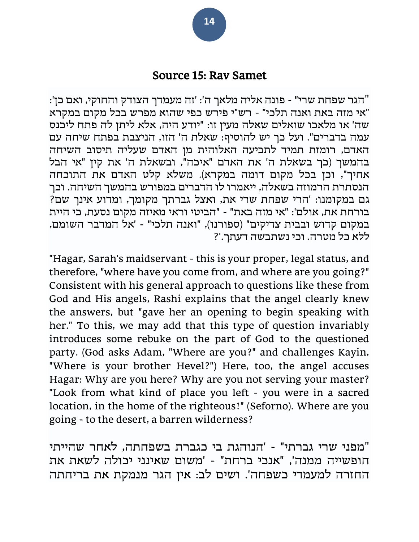#### Source 15: Rav Samet

"הגר שפחת שרי" - פונה אליה מלאך ה': 'זה מעמדך הצודק והחוקי, ואם כן': "אי מזה באת ואנה תלכי" - רש"י פירש כפי שהוא מפרש בכל מקום במקרא שה' או מלאכו שואלים שאלה מעין זו: "יודע היה, אלא ליתן לה פתח ליכנס עמה בדברים". ועל כך יש להוסיף: שאלת ה' הזו, הניצבת בפתח שיחה עם האדם, רומזת תמיד לתביעה האלוהית מן האדם שעליה תיסוב השיחה בהמשך )כך בשאלת ה' את האדם "איכה", ובשאלת ה' את קין "אי הבל אחיך", וכן בכל מקום דומה במקרא). משלא קלט האדם את התוכחה הנסתרת הרמוזה בשאלה, ייאמרו לו הדברים במפורש בהמשך השיחה. וכך גם במקומנו: 'הרי שפחת שרי את, ואצל גברתך מקומך, ומדוע אינך שם? בורחת את, אולם': "אי מזה באת" - "הביטי וראי מאיזה מקום נסעת, כי היית במקום קדוש ובבית צדיקים" )ספורנו(, "ואנה תלכי" - 'אל המדבר השומם, ללא כל מטרה. וכי נשתבשה דעתך.'?

"Hagar, Sarah's maidservant - this is your proper, legal status, and therefore, "where have you come from, and where are you going?" Consistent with his general approach to questions like these from God and His angels, Rashi explains that the angel clearly knew the answers, but "gave her an opening to begin speaking with her." To this, we may add that this type of question invariably introduces some rebuke on the part of God to the questioned party. (God asks Adam, "Where are you?" and challenges Kayin, "Where is your brother Hevel?") Here, too, the angel accuses Hagar: Why are you here? Why are you not serving your master? "Look from what kind of place you left - you were in a sacred location, in the home of the righteous!" (Seforno). Where are you going - to the desert, a barren wilderness?

"מפני שרי גברתי" - 'הנוהגת בי כגברת בשפחתה, לאחר שהייתי חופשייה ממנה', "אנכי ברחת" - 'משום שאינני יכולה לשאת את החזרה למעמדי כשפחה'. ושים לב: אין הגר מנמקת את בריחתה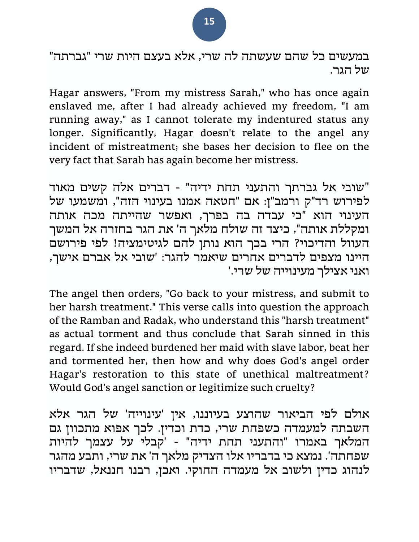במעשים כל שהם שעשתה לה שרי, אלא בעצם היות שרי "גברתה" של הגר.

Hagar answers, "From my mistress Sarah," who has once again enslaved me, after I had already achieved my freedom, "I am running away," as I cannot tolerate my indentured status any longer. Significantly, Hagar doesn't relate to the angel any incident of mistreatment; she bases her decision to flee on the very fact that Sarah has again become her mistress.

"שובי אל גברתך והתעני תחת ידיה" - דברים אלה קשים מאוד לפירוש רד"ק ורמב"ן: אם "חטאה אמנו בעינוי הזה", ומשמעו של העינוי הוא "כי עבדה בה בפרך, ואפשר שהייתה מכה אותה ומקללת אותה", כיצד זה שולח מלאך ה' את הגר בחזרה אל המשך העוול והדיכוי? הרי בכך הוא נותן להם לגיטימציה! לפי פירושם היינו מצפים לדברים אחרים שיאמר להגר: 'שובי אל אברם אישך, ואני אצילך מעינוייה של שרי.'

The angel then orders, "Go back to your mistress, and submit to her harsh treatment." This verse calls into question the approach of the Ramban and Radak, who understand this "harsh treatment" as actual torment and thus conclude that Sarah sinned in this regard. If she indeed burdened her maid with slave labor, beat her and tormented her, then how and why does God's angel order Hagar's restoration to this state of unethical maltreatment? Would God's angel sanction or legitimize such cruelty?

אולם לפי הביאור שהוצע בעיוננו, אין 'עינוייה' של הגר אלא השבתה למעמדה כשפחת שרי, כדת וכדין. לכך אפוא מתכוון גם המלאך באמרו "והתעני תחת ידיה" - 'קבלי על עצמך להיות שפחתה'. נמצא כי בדבריו אלו הצדיק מלאך ה' את שרי, ותבע מהגר לנהוג כדין ולשוב אל מעמדה החוקי. ואכן, רבנו חננאל, שדבריו